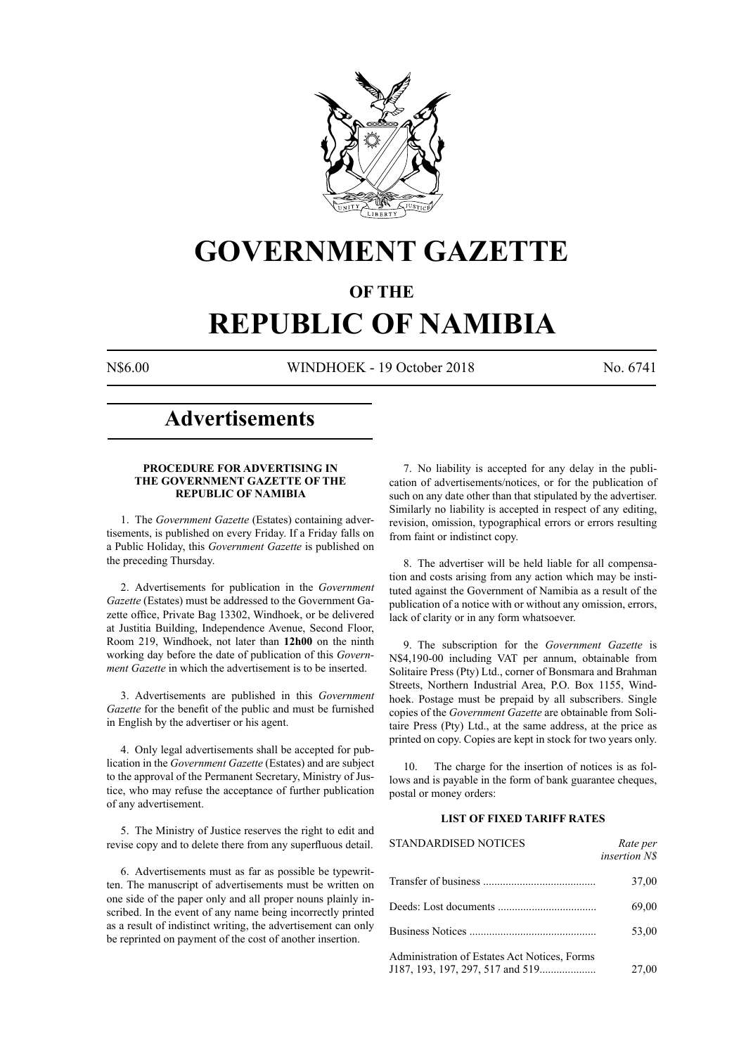

## **GOVERNMENT GAZETTE**

### **OF THE**

# **REPUBLIC OF NAMIBIA**

N\$6.00 WINDHOEK - 19 October 2018 No. 6741

### **Advertisements**

#### **PROCEDURE FOR ADVERTISING IN THE GOVERNMENT GAZETTE OF THE REPUBLIC OF NAMIBIA**

1. The *Government Gazette* (Estates) containing advertisements, is published on every Friday. If a Friday falls on a Public Holiday, this *Government Gazette* is published on the preceding Thursday.

2. Advertisements for publication in the *Government Gazette* (Estates) must be addressed to the Government Gazette office, Private Bag 13302, Windhoek, or be delivered at Justitia Building, Independence Avenue, Second Floor, Room 219, Windhoek, not later than **12h00** on the ninth working day before the date of publication of this *Government Gazette* in which the advertisement is to be inserted.

3. Advertisements are published in this *Government Gazette* for the benefit of the public and must be furnished in English by the advertiser or his agent.

4. Only legal advertisements shall be accepted for publication in the *Government Gazette* (Estates) and are subject to the approval of the Permanent Secretary, Ministry of Justice, who may refuse the acceptance of further publication of any advertisement.

5. The Ministry of Justice reserves the right to edit and revise copy and to delete there from any superfluous detail.

6. Advertisements must as far as possible be typewritten. The manuscript of advertisements must be written on one side of the paper only and all proper nouns plainly inscribed. In the event of any name being incorrectly printed as a result of indistinct writing, the advertisement can only be reprinted on payment of the cost of another insertion.

7. No liability is accepted for any delay in the publication of advertisements/notices, or for the publication of such on any date other than that stipulated by the advertiser. Similarly no liability is accepted in respect of any editing, revision, omission, typographical errors or errors resulting from faint or indistinct copy.

8. The advertiser will be held liable for all compensation and costs arising from any action which may be instituted against the Government of Namibia as a result of the publication of a notice with or without any omission, errors, lack of clarity or in any form whatsoever.

9. The subscription for the *Government Gazette* is N\$4,190-00 including VAT per annum, obtainable from Solitaire Press (Pty) Ltd., corner of Bonsmara and Brahman Streets, Northern Industrial Area, P.O. Box 1155, Windhoek. Postage must be prepaid by all subscribers. Single copies of the *Government Gazette* are obtainable from Solitaire Press (Pty) Ltd., at the same address, at the price as printed on copy. Copies are kept in stock for two years only.

10. The charge for the insertion of notices is as follows and is payable in the form of bank guarantee cheques, postal or money orders:

#### **LIST OF FIXED TARIFF RATES**

| <b>STANDARDISED NOTICES</b>                  | Rate per<br><i>insertion NS</i> |
|----------------------------------------------|---------------------------------|
|                                              | 37,00                           |
|                                              | 69,00                           |
|                                              | 53,00                           |
| Administration of Estates Act Notices, Forms | 27,00                           |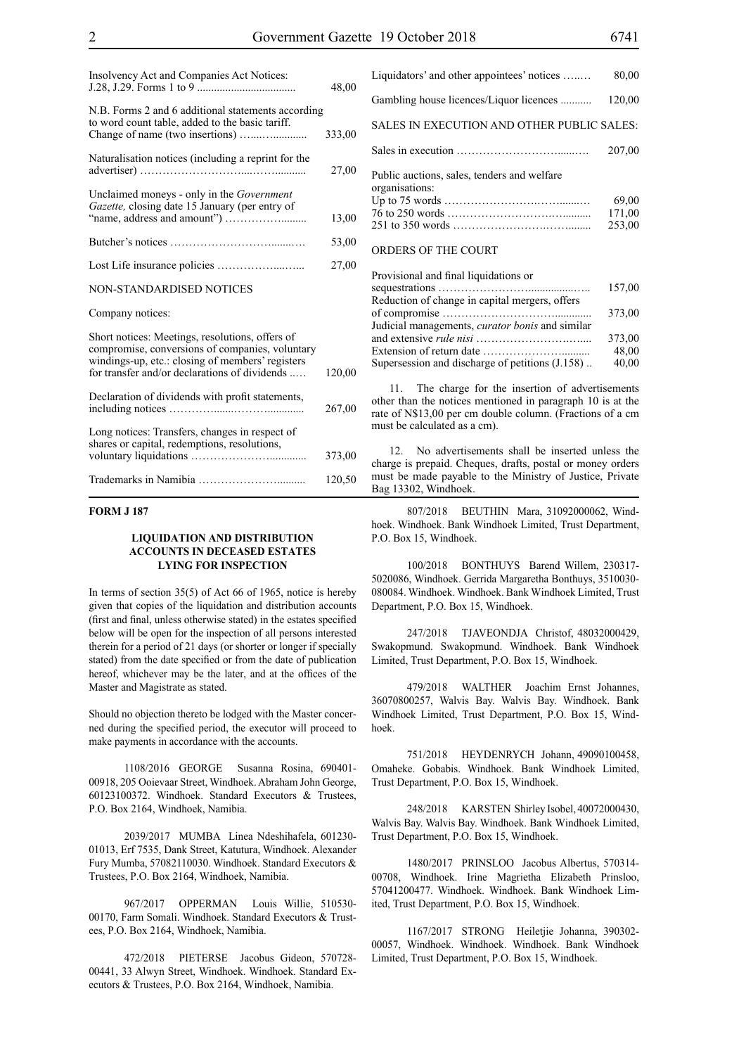| Insolvency Act and Companies Act Notices:                                                                                                                                                               | 48,00  |
|---------------------------------------------------------------------------------------------------------------------------------------------------------------------------------------------------------|--------|
| N.B. Forms 2 and 6 additional statements according<br>to word count table, added to the basic tariff.                                                                                                   | 333,00 |
| Naturalisation notices (including a reprint for the                                                                                                                                                     | 27,00  |
| Unclaimed moneys - only in the Government<br>Gazette, closing date 15 January (per entry of                                                                                                             | 13,00  |
|                                                                                                                                                                                                         | 53,00  |
|                                                                                                                                                                                                         | 27,00  |
| <b>NON-STANDARDISED NOTICES</b>                                                                                                                                                                         |        |
| Company notices:                                                                                                                                                                                        |        |
| Short notices: Meetings, resolutions, offers of<br>compromise, conversions of companies, voluntary<br>windings-up, etc.: closing of members' registers<br>for transfer and/or declarations of dividends | 120,00 |
| Declaration of dividends with profit statements,                                                                                                                                                        | 267,00 |
| Long notices: Transfers, changes in respect of<br>shares or capital, redemptions, resolutions,                                                                                                          | 373,00 |
|                                                                                                                                                                                                         | 120,50 |

#### **FORM J 187**

#### **LIQUIDATION AND DISTRIBUTION ACCOUNTS IN DECEASED ESTATES LYING FOR INSPECTION**

In terms of section 35(5) of Act 66 of 1965, notice is hereby given that copies of the liquidation and distribution accounts (first and final, unless otherwise stated) in the estates specified below will be open for the inspection of all persons interested therein for a period of 21 days (or shorter or longer if specially stated) from the date specified or from the date of publication hereof, whichever may be the later, and at the offices of the Master and Magistrate as stated.

Should no objection thereto be lodged with the Master concerned during the specified period, the executor will proceed to make payments in accordance with the accounts.

1108/2016 GEORGE Susanna Rosina, 690401- 00918, 205 Ooievaar Street, Windhoek. Abraham John George, 60123100372. Windhoek. Standard Executors & Trustees, P.O. Box 2164, Windhoek, Namibia.

2039/2017 MUMBA Linea Ndeshihafela, 601230- 01013, Erf 7535, Dank Street, Katutura, Windhoek. Alexander Fury Mumba, 57082110030. Windhoek. Standard Executors & Trustees, P.O. Box 2164, Windhoek, Namibia.

967/2017 OPPERMAN Louis Willie, 510530- 00170, Farm Somali. Windhoek. Standard Executors & Trustees, P.O. Box 2164, Windhoek, Namibia.

472/2018 PIETERSE Jacobus Gideon, 570728- 00441, 33 Alwyn Street, Windhoek. Windhoek. Standard Executors & Trustees, P.O. Box 2164, Windhoek, Namibia.

| Liquidators' and other appointees' notices                    | 80,00  |
|---------------------------------------------------------------|--------|
| Gambling house licences/Liquor licences                       | 120,00 |
| SALES IN EXECUTION AND OTHER PUBLIC SALES:                    |        |
|                                                               | 207,00 |
| Public auctions, sales, tenders and welfare<br>organisations: | 69,00  |
|                                                               | 171,00 |
|                                                               | 253,00 |
| ORDERS OF THE COURT                                           |        |

| Provisional and final liquidations or                  |        |
|--------------------------------------------------------|--------|
|                                                        | 157,00 |
| Reduction of change in capital mergers, offers         |        |
|                                                        | 373,00 |
| Judicial managements, <i>curator bonis</i> and similar |        |
|                                                        | 373,00 |
|                                                        | 48,00  |
| Supersession and discharge of petitions (J.158)        | 40,00  |

11. The charge for the insertion of advertisements other than the notices mentioned in paragraph 10 is at the rate of N\$13,00 per cm double column. (Fractions of a cm must be calculated as a cm).

12. No advertisements shall be inserted unless the charge is prepaid. Cheques, drafts, postal or money orders must be made payable to the Ministry of Justice, Private Bag 13302, Windhoek.

807/2018 BEUTHIN Mara, 31092000062, Windhoek. Windhoek. Bank Windhoek Limited, Trust Department, P.O. Box 15, Windhoek.

100/2018 BONTHUYS Barend Willem, 230317- 5020086, Windhoek. Gerrida Margaretha Bonthuys, 3510030- 080084. Windhoek. Windhoek. Bank Windhoek Limited, Trust Department, P.O. Box 15, Windhoek.

247/2018 TJAVEONDJA Christof, 48032000429, Swakopmund. Swakopmund. Windhoek. Bank Windhoek Limited, Trust Department, P.O. Box 15, Windhoek.

479/2018 WALTHER Joachim Ernst Johannes, 36070800257, Walvis Bay. Walvis Bay. Windhoek. Bank Windhoek Limited, Trust Department, P.O. Box 15, Windhoek.

751/2018 HEYDENRYCH Johann, 49090100458, Omaheke. Gobabis. Windhoek. Bank Windhoek Limited, Trust Department, P.O. Box 15, Windhoek.

248/2018 KARSTEN Shirley Isobel, 40072000430, Walvis Bay. Walvis Bay. Windhoek. Bank Windhoek Limited, Trust Department, P.O. Box 15, Windhoek.

1480/2017 PRINSLOO Jacobus Albertus, 570314- 00708, Windhoek. Irine Magrietha Elizabeth Prinsloo, 57041200477. Windhoek. Windhoek. Bank Windhoek Limited, Trust Department, P.O. Box 15, Windhoek.

1167/2017 STRONG Heiletjie Johanna, 390302- 00057, Windhoek. Windhoek. Windhoek. Bank Windhoek Limited, Trust Department, P.O. Box 15, Windhoek.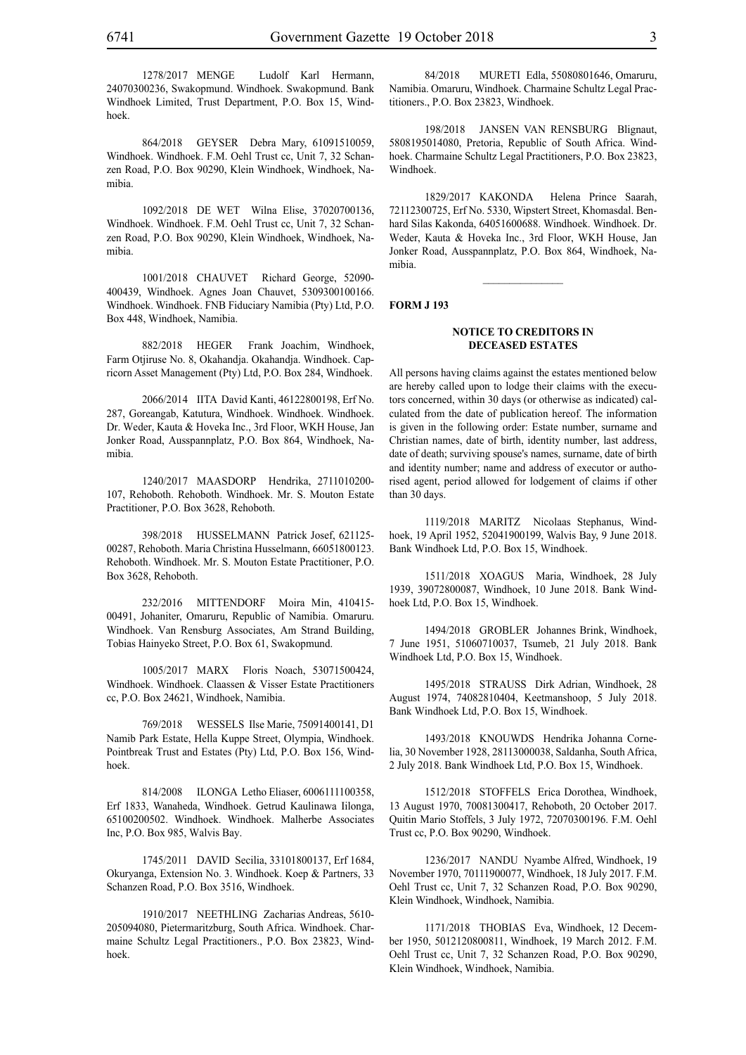1278/2017 MENGE Ludolf Karl Hermann, 24070300236, Swakopmund. Windhoek. Swakopmund. Bank Windhoek Limited, Trust Department, P.O. Box 15, Windhoek.

864/2018 GEYSER Debra Mary, 61091510059, Windhoek. Windhoek. F.M. Oehl Trust cc, Unit 7, 32 Schanzen Road, P.O. Box 90290, Klein Windhoek, Windhoek, Namibia.

1092/2018 DE WET Wilna Elise, 37020700136, Windhoek. Windhoek. F.M. Oehl Trust cc, Unit 7, 32 Schanzen Road, P.O. Box 90290, Klein Windhoek, Windhoek, Namibia.

1001/2018 CHAUVET Richard George, 52090- 400439, Windhoek. Agnes Joan Chauvet, 5309300100166. Windhoek. Windhoek. FNB Fiduciary Namibia (Pty) Ltd, P.O. Box 448, Windhoek, Namibia.

882/2018 HEGER Frank Joachim, Windhoek, Farm Otjiruse No. 8, Okahandja. Okahandja. Windhoek. Capricorn Asset Management (Pty) Ltd, P.O. Box 284, Windhoek.

2066/2014 IITA David Kanti, 46122800198, Erf No. 287, Goreangab, Katutura, Windhoek. Windhoek. Windhoek. Dr. Weder, Kauta & Hoveka Inc., 3rd Floor, WKH House, Jan Jonker Road, Ausspannplatz, P.O. Box 864, Windhoek, Namibia.

1240/2017 MAASDORP Hendrika, 2711010200- 107, Rehoboth. Rehoboth. Windhoek. Mr. S. Mouton Estate Practitioner, P.O. Box 3628, Rehoboth.

398/2018 HUSSELMANN Patrick Josef, 621125- 00287, Rehoboth. Maria Christina Husselmann, 66051800123. Rehoboth. Windhoek. Mr. S. Mouton Estate Practitioner, P.O. Box 3628, Rehoboth.

232/2016 MITTENDORF Moira Min, 410415- 00491, Johaniter, Omaruru, Republic of Namibia. Omaruru. Windhoek. Van Rensburg Associates, Am Strand Building, Tobias Hainyeko Street, P.O. Box 61, Swakopmund.

1005/2017 MARX Floris Noach, 53071500424, Windhoek. Windhoek. Claassen & Visser Estate Practitioners cc, P.O. Box 24621, Windhoek, Namibia.

769/2018 WESSELS Ilse Marie, 75091400141, D1 Namib Park Estate, Hella Kuppe Street, Olympia, Windhoek. Pointbreak Trust and Estates (Pty) Ltd, P.O. Box 156, Windhoek.

814/2008 ILONGA Letho Eliaser, 6006111100358, Erf 1833, Wanaheda, Windhoek. Getrud Kaulinawa Iilonga, 65100200502. Windhoek. Windhoek. Malherbe Associates Inc, P.O. Box 985, Walvis Bay.

1745/2011 DAVID Secilia, 33101800137, Erf 1684, Okuryanga, Extension No. 3. Windhoek. Koep & Partners, 33 Schanzen Road, P.O. Box 3516, Windhoek.

1910/2017 NEETHLING Zacharias Andreas, 5610- 205094080, Pietermaritzburg, South Africa. Windhoek. Charmaine Schultz Legal Practitioners., P.O. Box 23823, Windhoek.

84/2018 MURETI Edla, 55080801646, Omaruru, Namibia. Omaruru, Windhoek. Charmaine Schultz Legal Practitioners., P.O. Box 23823, Windhoek.

198/2018 JANSEN VAN RENSBURG Blignaut, 5808195014080, Pretoria, Republic of South Africa. Windhoek. Charmaine Schultz Legal Practitioners, P.O. Box 23823, Windhoek.

1829/2017 KAKONDA Helena Prince Saarah, 72112300725, Erf No. 5330, Wipstert Street, Khomasdal. Benhard Silas Kakonda, 64051600688. Windhoek. Windhoek. Dr. Weder, Kauta & Hoveka Inc., 3rd Floor, WKH House, Jan Jonker Road, Ausspannplatz, P.O. Box 864, Windhoek, Namibia.

 $\frac{1}{2}$ 

#### **FORM J 193**

#### **NOTICE TO CREDITORS IN DECEASED ESTATES**

All persons having claims against the estates mentioned below are hereby called upon to lodge their claims with the executors concerned, within 30 days (or otherwise as indicated) calculated from the date of publication hereof. The information is given in the following order: Estate number, surname and Christian names, date of birth, identity number, last address, date of death; surviving spouse's names, surname, date of birth and identity number; name and address of executor or authorised agent, period allowed for lodgement of claims if other than 30 days.

1119/2018 MARITZ Nicolaas Stephanus, Windhoek, 19 April 1952, 52041900199, Walvis Bay, 9 June 2018. Bank Windhoek Ltd, P.O. Box 15, Windhoek.

1511/2018 XOAGUS Maria, Windhoek, 28 July 1939, 39072800087, Windhoek, 10 June 2018. Bank Windhoek Ltd, P.O. Box 15, Windhoek.

1494/2018 GROBLER Johannes Brink, Windhoek, 7 June 1951, 51060710037, Tsumeb, 21 July 2018. Bank Windhoek Ltd, P.O. Box 15, Windhoek.

1495/2018 STRAUSS Dirk Adrian, Windhoek, 28 August 1974, 74082810404, Keetmanshoop, 5 July 2018. Bank Windhoek Ltd, P.O. Box 15, Windhoek.

1493/2018 KNOUWDS Hendrika Johanna Cornelia, 30 November 1928, 28113000038, Saldanha, South Africa, 2 July 2018. Bank Windhoek Ltd, P.O. Box 15, Windhoek.

1512/2018 STOFFELS Erica Dorothea, Windhoek, 13 August 1970, 70081300417, Rehoboth, 20 October 2017. Quitin Mario Stoffels, 3 July 1972, 72070300196. F.M. Oehl Trust cc, P.O. Box 90290, Windhoek.

1236/2017 NANDU Nyambe Alfred, Windhoek, 19 November 1970, 70111900077, Windhoek, 18 July 2017. F.M. Oehl Trust cc, Unit 7, 32 Schanzen Road, P.O. Box 90290, Klein Windhoek, Windhoek, Namibia.

1171/2018 THOBIAS Eva, Windhoek, 12 December 1950, 5012120800811, Windhoek, 19 March 2012. F.M. Oehl Trust cc, Unit 7, 32 Schanzen Road, P.O. Box 90290, Klein Windhoek, Windhoek, Namibia.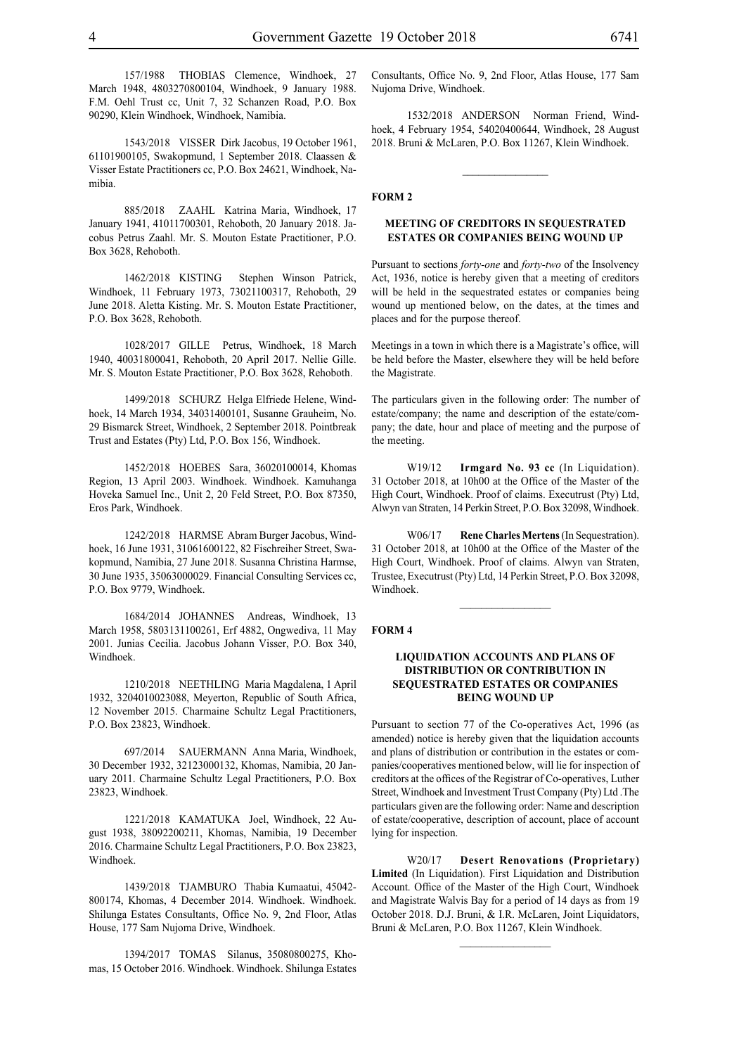157/1988 THOBIAS Clemence, Windhoek, 27 March 1948, 4803270800104, Windhoek, 9 January 1988. F.M. Oehl Trust cc, Unit 7, 32 Schanzen Road, P.O. Box 90290, Klein Windhoek, Windhoek, Namibia.

1543/2018 VISSER Dirk Jacobus, 19 October 1961, 61101900105, Swakopmund, 1 September 2018. Claassen & Visser Estate Practitioners cc, P.O. Box 24621, Windhoek, Namibia.

885/2018 ZAAHL Katrina Maria, Windhoek, 17 January 1941, 41011700301, Rehoboth, 20 January 2018. Jacobus Petrus Zaahl. Mr. S. Mouton Estate Practitioner, P.O. Box 3628, Rehoboth.

1462/2018 KISTING Stephen Winson Patrick, Windhoek, 11 February 1973, 73021100317, Rehoboth, 29 June 2018. Aletta Kisting. Mr. S. Mouton Estate Practitioner, P.O. Box 3628, Rehoboth.

1028/2017 GILLE Petrus, Windhoek, 18 March 1940, 40031800041, Rehoboth, 20 April 2017. Nellie Gille. Mr. S. Mouton Estate Practitioner, P.O. Box 3628, Rehoboth.

1499/2018 SCHURZ Helga Elfriede Helene, Windhoek, 14 March 1934, 34031400101, Susanne Grauheim, No. 29 Bismarck Street, Windhoek, 2 September 2018. Pointbreak Trust and Estates (Pty) Ltd, P.O. Box 156, Windhoek.

1452/2018 HOEBES Sara, 36020100014, Khomas Region, 13 April 2003. Windhoek. Windhoek. Kamuhanga Hoveka Samuel Inc., Unit 2, 20 Feld Street, P.O. Box 87350, Eros Park, Windhoek.

1242/2018 HARMSE Abram Burger Jacobus, Windhoek, 16 June 1931, 31061600122, 82 Fischreiher Street, Swakopmund, Namibia, 27 June 2018. Susanna Christina Harmse, 30 June 1935, 35063000029. Financial Consulting Services cc, P.O. Box 9779, Windhoek.

1684/2014 JOHANNES Andreas, Windhoek, 13 March 1958, 5803131100261, Erf 4882, Ongwediva, 11 May 2001. Junias Cecilia. Jacobus Johann Visser, P.O. Box 340, Windhoek.

1210/2018 NEETHLING Maria Magdalena, 1 April 1932, 3204010023088, Meyerton, Republic of South Africa, 12 November 2015. Charmaine Schultz Legal Practitioners, P.O. Box 23823, Windhoek.

697/2014 SAUERMANN Anna Maria, Windhoek, 30 December 1932, 32123000132, Khomas, Namibia, 20 January 2011. Charmaine Schultz Legal Practitioners, P.O. Box 23823, Windhoek.

1221/2018 KAMATUKA Joel, Windhoek, 22 August 1938, 38092200211, Khomas, Namibia, 19 December 2016. Charmaine Schultz Legal Practitioners, P.O. Box 23823, Windhoek.

1439/2018 TJAMBURO Thabia Kumaatui, 45042- 800174, Khomas, 4 December 2014. Windhoek. Windhoek. Shilunga Estates Consultants, Office No. 9, 2nd Floor, Atlas House, 177 Sam Nujoma Drive, Windhoek.

1394/2017 TOMAS Silanus, 35080800275, Khomas, 15 October 2016. Windhoek. Windhoek. Shilunga Estates Consultants, Office No. 9, 2nd Floor, Atlas House, 177 Sam Nujoma Drive, Windhoek.

1532/2018 ANDERSON Norman Friend, Windhoek, 4 February 1954, 54020400644, Windhoek, 28 August 2018. Bruni & McLaren, P.O. Box 11267, Klein Windhoek.

 $\frac{1}{2}$ 

#### **FORM 2**

#### **MEETING OF CREDITORS IN SEQUESTRATED ESTATES OR COMPANIES BEING WOUND UP**

Pursuant to sections *forty-one* and *forty-two* of the Insolvency Act, 1936, notice is hereby given that a meeting of creditors will be held in the sequestrated estates or companies being wound up mentioned below, on the dates, at the times and places and for the purpose thereof.

Meetings in a town in which there is a Magistrate's office, will be held before the Master, elsewhere they will be held before the Magistrate.

The particulars given in the following order: The number of estate/company; the name and description of the estate/company; the date, hour and place of meeting and the purpose of the meeting.

W19/12 **Irmgard No. 93 cc** (In Liquidation). 31 October 2018, at 10h00 at the Office of the Master of the High Court, Windhoek. Proof of claims. Executrust (Pty) Ltd, Alwyn van Straten, 14 Perkin Street, P.O. Box 32098, Windhoek.

W06/17 **Rene Charles Mertens**(In Sequestration). 31 October 2018, at 10h00 at the Office of the Master of the High Court, Windhoek. Proof of claims. Alwyn van Straten, Trustee, Executrust (Pty) Ltd, 14 Perkin Street, P.O. Box 32098, Windhoek.

 $\frac{1}{2}$ 

#### **FORM 4**

#### **LIQUIDATION ACCOUNTS AND PLANS OF DISTRIBUTION OR CONTRIBUTION IN SEQUESTRATED ESTATES OR COMPANIES BEING WOUND UP**

Pursuant to section 77 of the Co-operatives Act, 1996 (as amended) notice is hereby given that the liquidation accounts and plans of distribution or contribution in the estates or companies/cooperatives mentioned below, will lie for inspection of creditors at the offices of the Registrar of Co-operatives, Luther Street, Windhoek and Investment Trust Company (Pty) Ltd .The particulars given are the following order: Name and description of estate/cooperative, description of account, place of account lying for inspection.

W20/17 **Desert Renovations (Proprietary) Limited** (In Liquidation). First Liquidation and Distribution Account. Office of the Master of the High Court, Windhoek and Magistrate Walvis Bay for a period of 14 days as from 19 October 2018. D.J. Bruni, & I.R. McLaren, Joint Liquidators, Bruni & McLaren, P.O. Box 11267, Klein Windhoek.

 $\frac{1}{2}$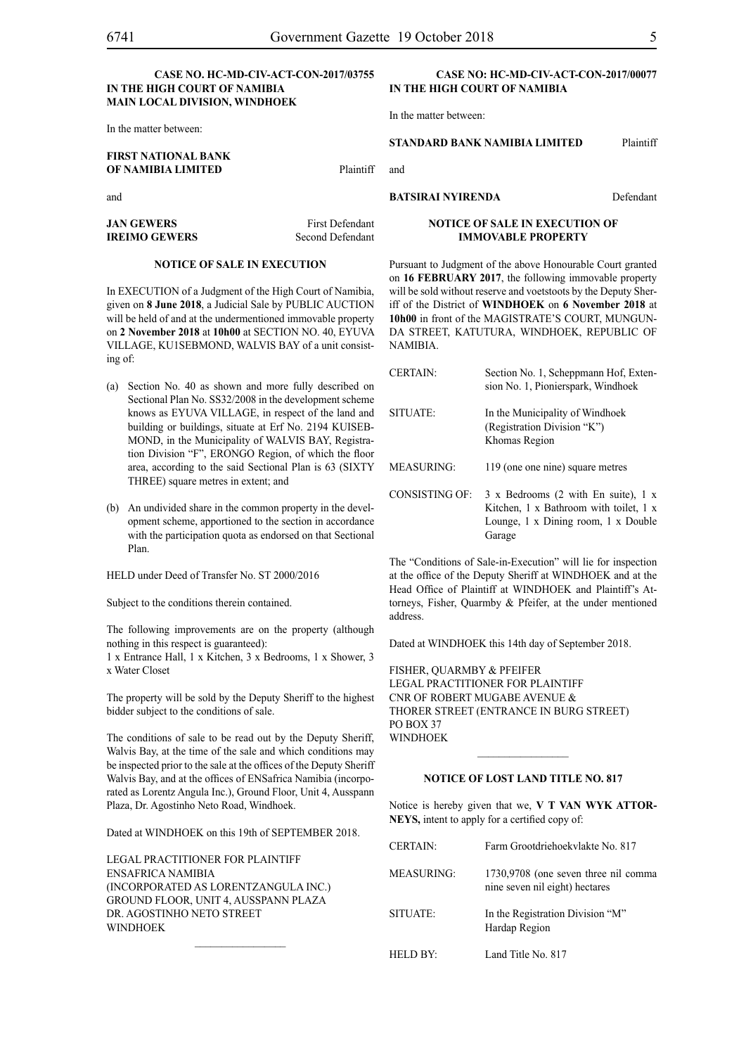#### **CASE NO. HC-MD-CIV-ACT-CON-2017/03755 IN THE HIGH COURT OF NAMIBIA MAIN LOCAL DIVISION, WINDHOEK**

In the matter between:

**IREIMO GEWERS** 

#### **FIRST NATIONAL BANK OF NAMIBIA LIMITED** Plaintiff

and

**JAN GEWERS** First Defendant<br> **IREIMO GEWERS** Second Defendant

#### **NOTICE OF SALE IN EXECUTION**

In EXECUTION of a Judgment of the High Court of Namibia, given on **8 June 2018**, a Judicial Sale by PUBLIC AUCTION will be held of and at the undermentioned immovable property on **2 November 2018** at **10h00** at SECTION NO. 40, EYUVA VILLAGE, KU1SEBMOND, WALVIS BAY of a unit consisting of:

- (a) Section No. 40 as shown and more fully described on Sectional Plan No. SS32/2008 in the development scheme knows as EYUVA VILLAGE, in respect of the land and building or buildings, situate at Erf No. 2194 KUISEB-MOND, in the Municipality of WALVIS BAY, Registration Division "F", ERONGO Region, of which the floor area, according to the said Sectional Plan is 63 (SIXTY THREE) square metres in extent; and
- (b) An undivided share in the common property in the development scheme, apportioned to the section in accordance with the participation quota as endorsed on that Sectional Plan.

HELD under Deed of Transfer No. ST 2000/2016

Subject to the conditions therein contained.

The following improvements are on the property (although nothing in this respect is guaranteed):

1 x Entrance Hall, 1 x Kitchen, 3 x Bedrooms, 1 x Shower, 3 x Water Closet

The property will be sold by the Deputy Sheriff to the highest bidder subject to the conditions of sale.

The conditions of sale to be read out by the Deputy Sheriff, Walvis Bay, at the time of the sale and which conditions may be inspected prior to the sale at the offices of the Deputy Sheriff Walvis Bay, and at the offices of ENSafrica Namibia (incorporated as Lorentz Angula Inc.), Ground Floor, Unit 4, Ausspann Plaza, Dr. Agostinho Neto Road, Windhoek.

Dated at WINDHOEK on this 19th of SEPTEMBER 2018.

Legal Practitioner for Plaintiff ENSafrica Namibia (incorporated as LorentzAngula Inc.) Ground Floor, Unit 4, Ausspann Plaza Dr. Agostinho Neto Street **WINDHOFK** 

#### **CASE NO: HC-MD-CIV-ACT-CON-2017/00077 IN THE HIGH COURT OF NAMIBIA**

In the matter between:

**STANDARD BANK NAMIBIA LIMITED** Plaintiff

and

#### **BATSIRAI NYIRENDA** Defendant

#### **NOTICE OF SALE IN EXECUTION OF IMMOVABLE PROPERTY**

Pursuant to Judgment of the above Honourable Court granted on **16 FEBRUARY 2017**, the following immovable property will be sold without reserve and voetstoots by the Deputy Sheriff of the District of **WINDHOEK** on **6 November 2018** at **10h00** in front of the MAGISTRATE'S COURT, MUNGUN-DA STREET, KATUTURA, WINDHOEK, REPUBLIC OF NAMIBIA.

| <b>CERTAIN:</b>   | Section No. 1, Scheppmann Hof, Exten-<br>sion No. 1, Pionierspark, Windhoek                                                    |
|-------------------|--------------------------------------------------------------------------------------------------------------------------------|
| SITUATE:          | In the Municipality of Windhoek<br>(Registration Division "K")<br>Khomas Region                                                |
| <b>MEASURING:</b> | 119 (one one nine) square metres                                                                                               |
| CONSISTING OF:    | 3 x Bedrooms (2 with En suite), 1 x<br>Kitchen, 1 x Bathroom with toilet, 1 x<br>Lounge, 1 x Dining room, 1 x Double<br>Garage |

The "Conditions of Sale-in-Execution" will lie for inspection at the office of the Deputy Sheriff at WINDHOEK and at the Head Office of Plaintiff at WINDHOEK and Plaintiff's Attorneys, Fisher, Quarmby & Pfeifer, at the under mentioned address.

Dated at WINDHOEK this 14th day of September 2018.

FISHER, QUARMBY & PFEIFER LEGAL PRACTITIONER FOR Plaintiff Cnr of Robert Mugabe Avenue & Thorer Street (entrance in Burg Street) PO BOX 37 WINDHOEK

#### **NOTICE OF LOST LAND TITLE NO. 817**

 $\frac{1}{2}$ 

Notice is hereby given that we, **V T VAN WYK ATTOR-NEYS,** intent to apply for a certified copy of:

| <b>CERTAIN:</b> | Farm Grootdriehoekvlakte No. 817                                       |
|-----------------|------------------------------------------------------------------------|
| MEASURING:      | 1730,9708 (one seven three nil comma<br>nine seven nil eight) hectares |
| SITUATE:        | In the Registration Division "M"<br>Hardap Region                      |
| HELD BY:        | Land Title No. 817                                                     |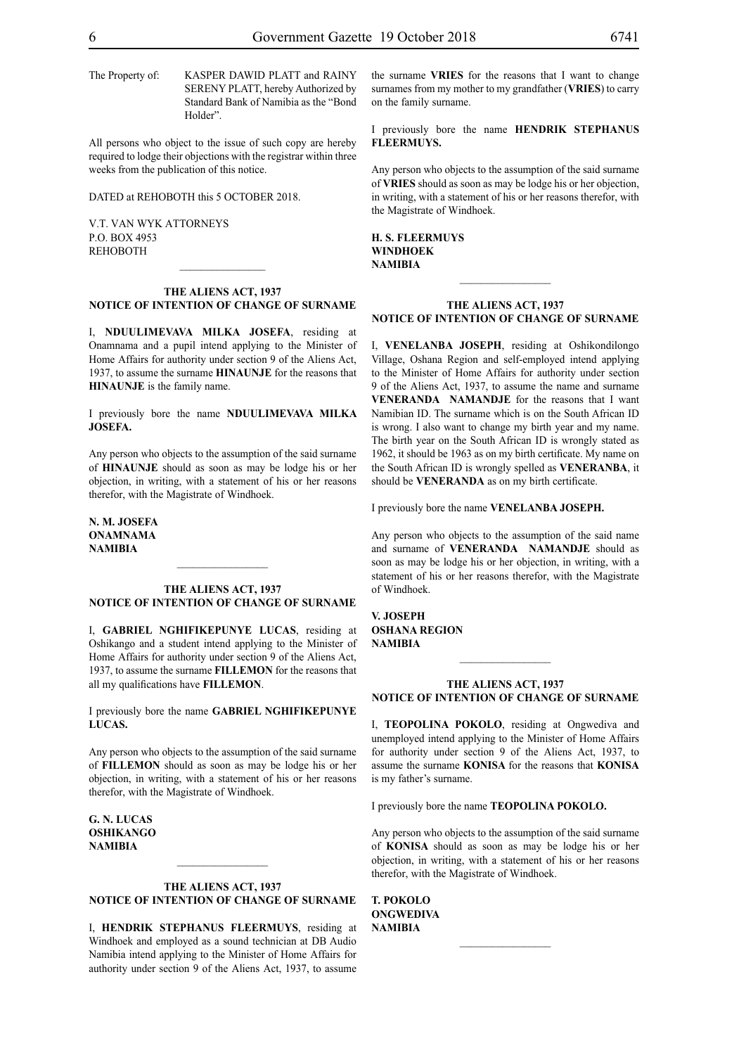The Property of: KASPER DAWID PLATT and RAINY

Standard Bank of Namibia as the "Bond Holder".

SERENY PLATT, hereby Authorized by

All persons who object to the issue of such copy are hereby required to lodge their objections with the registrar within three weeks from the publication of this notice.

DATED at REHOBOTH this 5 OCTOBER 2018.

V.T. van Wyk Attorneys P.O. Box 4953 **REHOBOTH** 

#### **THE ALIENS ACT, 1937 NOTICE OF INTENTION OF CHANGE OF SURNAME**

I, **nduulimevava milka josefa**, residing at Onamnama and a pupil intend applying to the Minister of Home Affairs for authority under section 9 of the Aliens Act, 1937, to assume the surname **HINAUNJE** for the reasons that **HINAUNJE** is the family name.

I previously bore the name **nduulimevava milka josefa.**

Any person who objects to the assumption of the said surname of **HINAUNJE** should as soon as may be lodge his or her objection, in writing, with a statement of his or her reasons therefor, with the Magistrate of Windhoek.

**n. m. josefa onamnama NAMIBIA**

#### **THE ALIENS ACT, 1937 NOTICE OF INTENTION OF CHANGE OF SURNAME**

I, **gabriel nghiFIkepunye lucas**, residing at Oshikango and a student intend applying to the Minister of Home Affairs for authority under section 9 of the Aliens Act, 1937, to assume the surname **fillemon** for the reasons that all my qualifications have **FILLEMON**.

I previously bore the name **gabriel nghiFIkepunye LUCAS.** 

Any person who objects to the assumption of the said surname of **fillemon** should as soon as may be lodge his or her objection, in writing, with a statement of his or her reasons therefor, with the Magistrate of Windhoek.

**g. N. lucas OSHIKANGO NAMIBIA**

#### **THE ALIENS ACT, 1937 NOTICE OF INTENTION OF CHANGE OF SURNAME**

I, **HENDRIK STEPHANUS FLEERMUYS**, residing at Windhoek and employed as a sound technician at DB Audio Namibia intend applying to the Minister of Home Affairs for authority under section 9 of the Aliens Act, 1937, to assume

the surname **VRIES** for the reasons that I want to change surnames from my mother to my grandfather (**VRIES**) to carry on the family surname.

I previously bore the name **HENDRIK STEPHANUS FLEERMUYS.**

Any person who objects to the assumption of the said surname of **VRIES** should as soon as may be lodge his or her objection, in writing, with a statement of his or her reasons therefor, with the Magistrate of Windhoek.

**H. S. FLEERMUYS windhoek NAMIBIA**

#### **THE ALIENS ACT, 1937 NOTICE OF INTENTION OF CHANGE OF SURNAME**

 $\frac{1}{2}$ 

I, **venelanba Joseph**, residing at Oshikondilongo Village, Oshana Region and self-employed intend applying to the Minister of Home Affairs for authority under section 9 of the Aliens Act, 1937, to assume the name and surname **VENERANDA NAMANDJE** for the reasons that I want Namibian ID. The surname which is on the South African ID is wrong. I also want to change my birth year and my name. The birth year on the South African ID is wrongly stated as 1962, it should be 1963 as on my birth certificate. My name on the South African ID is wrongly spelled as **VENERANBA**, it should be **VENERANDA** as on my birth certificate.

I previously bore the name **venelanba Joseph.**

Any person who objects to the assumption of the said name and surname of **VENERANDA** NAMANDJE should as soon as may be lodge his or her objection, in writing, with a statement of his or her reasons therefor, with the Magistrate of Windhoek.

**v. Joseph OSHANA REGION NAMIBIA**

#### **THE ALIENS ACT, 1937 NOTICE OF INTENTION OF CHANGE OF SURNAME**

 $\frac{1}{2}$ 

I, **teopolina pokolo**, residing at Ongwediva and unemployed intend applying to the Minister of Home Affairs for authority under section 9 of the Aliens Act, 1937, to assume the surname **konisa** for the reasons that **KONISA** is my father's surname.

I previously bore the name **teopolina pokolo.**

Any person who objects to the assumption of the said surname of **KONISA** should as soon as may be lodge his or her objection, in writing, with a statement of his or her reasons therefor, with the Magistrate of Windhoek.

 $\frac{1}{2}$ 

**t. pokolo ongwediva NAMIBIA**